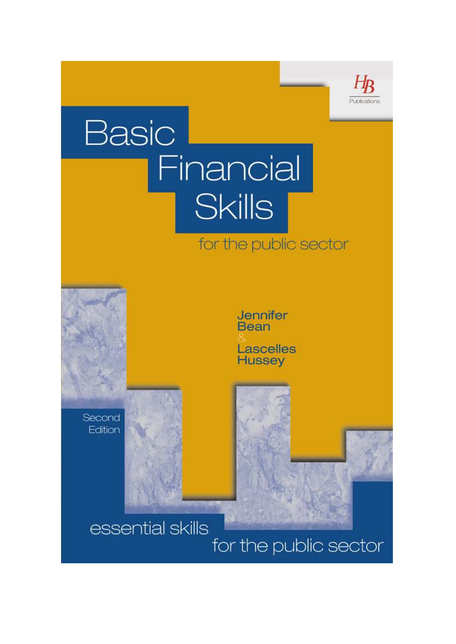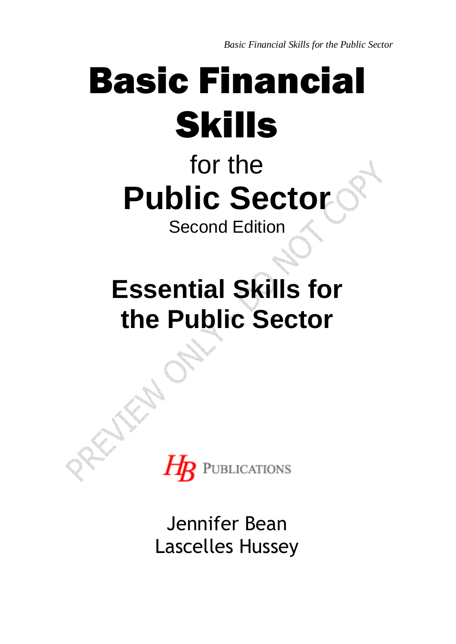*Basic Financial Skills for the Public Sector* 

# Basic Financial Skills

## for the **Public Sector**

Second Edition

## **Essential Skills for the Public Sector**



Jennifer Bean Lascelles Hussey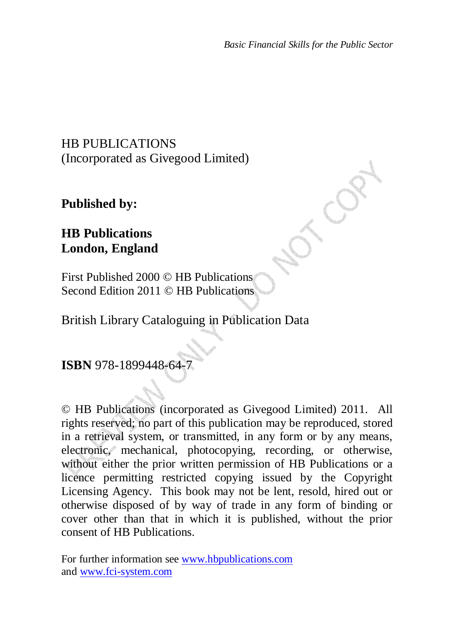## HB PUBLICATIONS (Incorporated as Givegood Limited)

**Published by:** 

### **HB Publications London, England**

First Published 2000 © HB Publications Second Edition 2011 © HB Publications

British Library Cataloguing in Publication Data

**ISBN** 978-1899448-64-7

© HB Publications (incorporated as Givegood Limited) 2011. All rights reserved; no part of this publication may be reproduced, stored in a retrieval system, or transmitted, in any form or by any means, electronic, mechanical, photocopying, recording, or otherwise, without either the prior written permission of HB Publications or a licence permitting restricted copying issued by the Copyright Licensing Agency. This book may not be lent, resold, hired out or otherwise disposed of by way of trade in any form of binding or cover other than that in which it is published, without the prior consent of HB Publications.

For further information see www.hbpublications.com and www.fci-system.com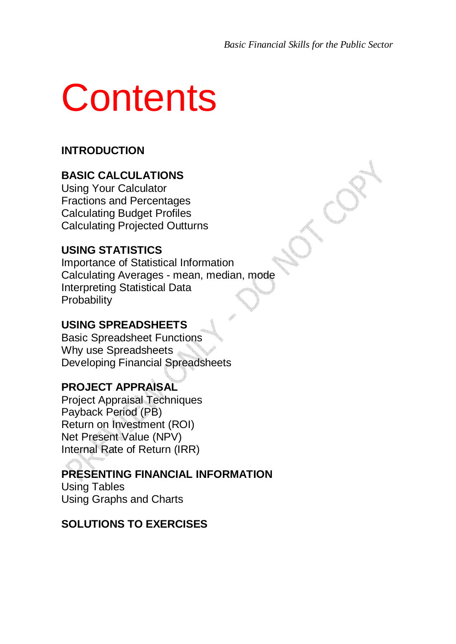# **Contents**

### **INTRODUCTION**

#### **BASIC CALCULATIONS**

Using Your Calculator Fractions and Percentages Calculating Budget Profiles Calculating Projected Outturns

#### **USING STATISTICS**

Importance of Statistical Information Calculating Averages - mean, median, mode Interpreting Statistical Data **Probability** 

#### **USING SPREADSHEETS**

Basic Spreadsheet Functions Why use Spreadsheets Developing Financial Spreadsheets

#### **PROJECT APPRAISAL**

Project Appraisal Techniques Payback Period (PB) Return on Investment (ROI) Net Present Value (NPV) Internal Rate of Return (IRR)

#### **PRESENTING FINANCIAL INFORMATION**

Using Tables Using Graphs and Charts

#### **SOLUTIONS TO EXERCISES**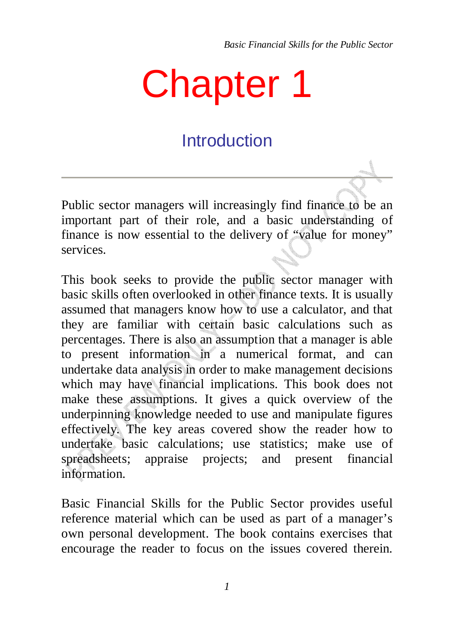## Chapter 1

## **Introduction**

Public sector managers will increasingly find finance to be an important part of their role, and a basic understanding of finance is now essential to the delivery of "value for money" services.

This book seeks to provide the public sector manager with basic skills often overlooked in other finance texts. It is usually assumed that managers know how to use a calculator, and that they are familiar with certain basic calculations such as percentages. There is also an assumption that a manager is able to present information in a numerical format, and can undertake data analysis in order to make management decisions which may have financial implications. This book does not make these assumptions. It gives a quick overview of the underpinning knowledge needed to use and manipulate figures effectively. The key areas covered show the reader how to undertake basic calculations; use statistics; make use of spreadsheets; appraise projects; and present financial information.

Basic Financial Skills for the Public Sector provides useful reference material which can be used as part of a manager's own personal development. The book contains exercises that encourage the reader to focus on the issues covered therein.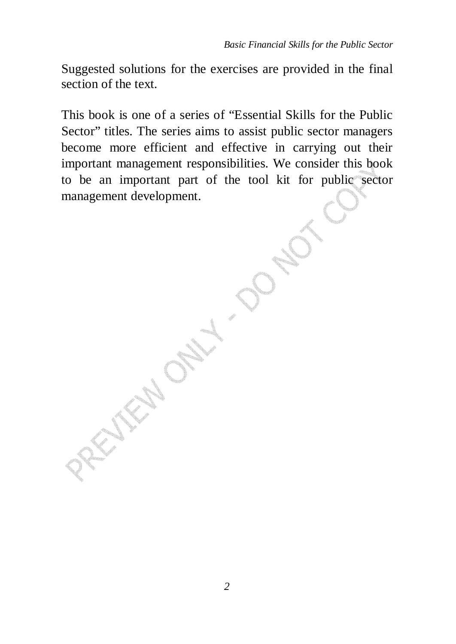Suggested solutions for the exercises are provided in the final section of the text.

This book is one of a series of "Essential Skills for the Public Sector" titles. The series aims to assist public sector managers become more efficient and effective in carrying out their important management responsibilities. We consider this book to be an important part of the tool kit for public sector management development.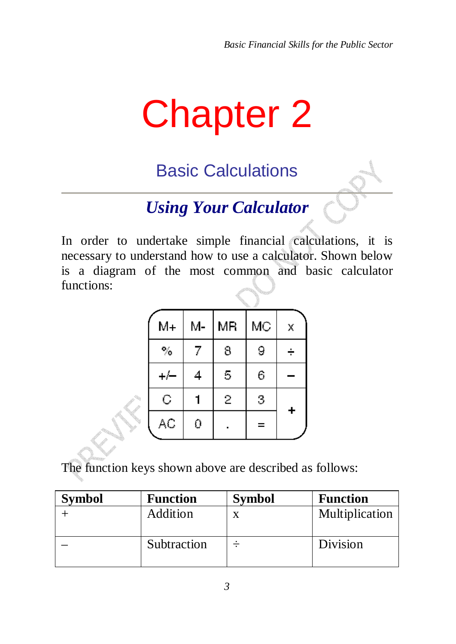## Chapter 2

Basic Calculations

## *Using Your Calculator*

In order to undertake simple financial calculations, it is necessary to understand how to use a calculator. Shown below is a diagram of the most common and basic calculator functions:

| $M+$                   | М-             | ΜR     | MC  | Χ |
|------------------------|----------------|--------|-----|---|
| $\%$                   | $\overline{I}$ | 8      | 9   | ÷ |
|                        | 4              | 5      | 6   |   |
| $\mathsf C$            |                | $\geq$ | 3   | ÷ |
| $\mathbb{A}\mathbb{C}$ | Ō              |        | $=$ |   |

The function keys shown above are described as follows:

| Symbol | <b>Function</b> | <b>Symbol</b> | <b>Function</b> |
|--------|-----------------|---------------|-----------------|
|        | Addition        |               | Multiplication  |
|        | Subtraction     |               | Division        |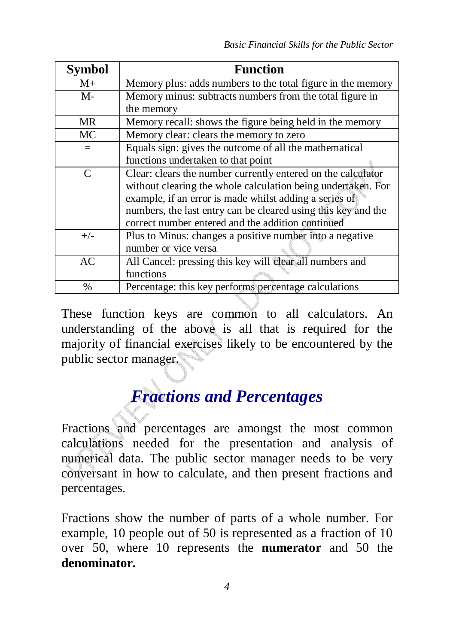| <b>Symbol</b> | <b>Function</b>                                               |  |
|---------------|---------------------------------------------------------------|--|
| $M_{\pm}$     | Memory plus: adds numbers to the total figure in the memory   |  |
| M-            | Memory minus: subtracts numbers from the total figure in      |  |
|               | the memory                                                    |  |
| <b>MR</b>     | Memory recall: shows the figure being held in the memory      |  |
| MC            | Memory clear: clears the memory to zero                       |  |
| $=$           | Equals sign: gives the outcome of all the mathematical        |  |
|               | functions undertaken to that point                            |  |
| $\mathcal{C}$ | Clear: clears the number currently entered on the calculator  |  |
|               | without clearing the whole calculation being undertaken. For  |  |
|               | example, if an error is made whilst adding a series of        |  |
|               | numbers, the last entry can be cleared using this key and the |  |
|               | correct number entered and the addition continued             |  |
| $+/-$         | Plus to Minus: changes a positive number into a negative      |  |
|               | number or vice versa                                          |  |
| AC            | All Cancel: pressing this key will clear all numbers and      |  |
|               | functions                                                     |  |
| $\frac{0}{0}$ | Percentage: this key performs percentage calculations         |  |

These function keys are common to all calculators. An understanding of the above is all that is required for the majority of financial exercises likely to be encountered by the public sector manager.

## *Fractions and Percentages*

Fractions and percentages are amongst the most common calculations needed for the presentation and analysis of numerical data. The public sector manager needs to be very conversant in how to calculate, and then present fractions and percentages.

Fractions show the number of parts of a whole number. For example, 10 people out of 50 is represented as a fraction of 10 over 50, where 10 represents the **numerator** and 50 the **denominator.**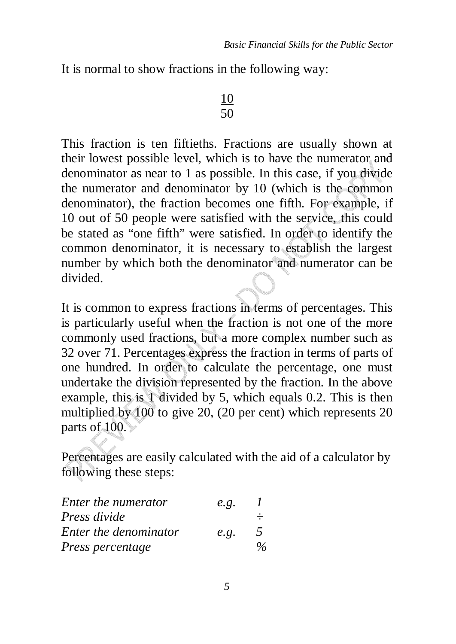It is normal to show fractions in the following way:

### 10 50

This fraction is ten fiftieths. Fractions are usually shown at their lowest possible level, which is to have the numerator and denominator as near to 1 as possible. In this case, if you divide the numerator and denominator by 10 (which is the common denominator), the fraction becomes one fifth. For example, if 10 out of 50 people were satisfied with the service, this could be stated as "one fifth" were satisfied. In order to identify the common denominator, it is necessary to establish the largest number by which both the denominator and numerator can be divided.

It is common to express fractions in terms of percentages. This is particularly useful when the fraction is not one of the more commonly used fractions, but a more complex number such as 32 over 71. Percentages express the fraction in terms of parts of one hundred. In order to calculate the percentage, one must undertake the division represented by the fraction. In the above example, this is 1 divided by 5, which equals 0.2. This is then multiplied by 100 to give 20, (20 per cent) which represents 20 parts of 100.

Percentages are easily calculated with the aid of a calculator by following these steps:

| Enter the numerator   | e.g. |                          |
|-----------------------|------|--------------------------|
| Press divide          |      | $\div$                   |
| Enter the denominator | e.g. | $\overline{\phantom{a}}$ |
| Press percentage      |      | $\frac{0}{6}$            |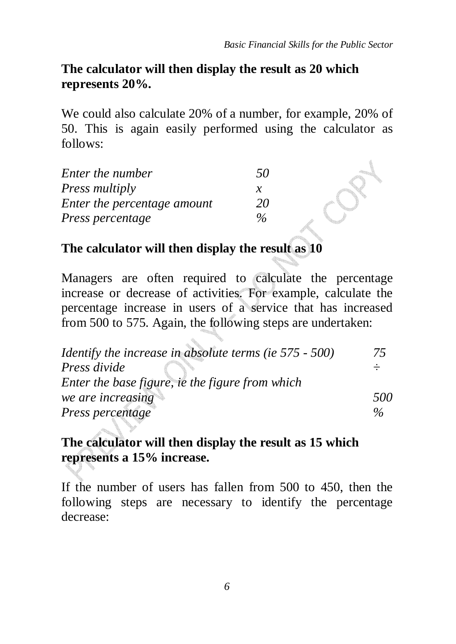## **The calculator will then display the result as 20 which represents 20%.**

We could also calculate 20% of a number, for example, 20% of 50. This is again easily performed using the calculator as follows:

| Enter the number            | 50   |  |
|-----------------------------|------|--|
| Press multiply              | х    |  |
| Enter the percentage amount | 20   |  |
| Press percentage            | $\%$ |  |

## **The calculator will then display the result as 10**

Managers are often required to calculate the percentage increase or decrease of activities. For example, calculate the percentage increase in users of a service that has increased from 500 to 575. Again, the following steps are undertaken:

| Identify the increase in absolute terms (ie 575 - 500) | 75            |
|--------------------------------------------------------|---------------|
| Press divide                                           |               |
| Enter the base figure, ie the figure from which        |               |
| we are increasing                                      | 500           |
| Press percentage                                       | $\frac{0}{6}$ |

## **The calculator will then display the result as 15 which represents a 15% increase.**

If the number of users has fallen from 500 to 450, then the following steps are necessary to identify the percentage decrease: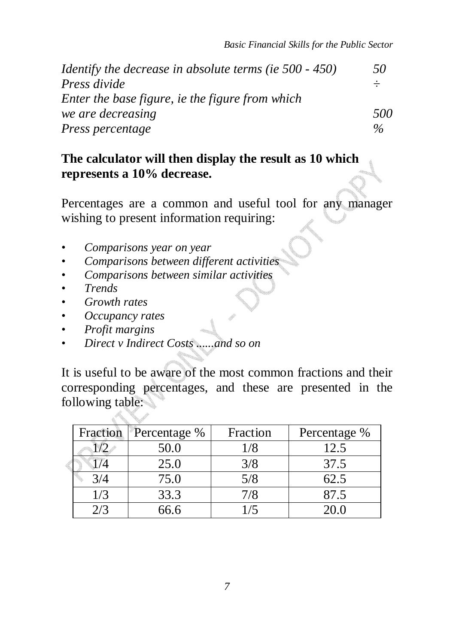| <i>Identify the decrease in absolute terms (ie 500 - 450)</i> | 50            |
|---------------------------------------------------------------|---------------|
| Press divide                                                  |               |
| Enter the base figure, ie the figure from which               |               |
| we are decreasing                                             | 500           |
| Press percentage                                              | $\frac{0}{6}$ |

### **The calculator will then display the result as 10 which represents a 10% decrease.**

Percentages are a common and useful tool for any manager wishing to present information requiring:

- *Comparisons year on year*
- *Comparisons between different activities*
- *Comparisons between similar activities*
- *Trends*
- *Growth rates*
- *Occupancy rates*
- *Profit margins*
- *Direct v Indirect Costs ......and so on*

It is useful to be aware of the most common fractions and their corresponding percentages, and these are presented in the following table:

| Fraction | Percentage % | Fraction | Percentage % |
|----------|--------------|----------|--------------|
|          | 50.0         | 1/8      | 12.5         |
|          | 25.0         | 3/8      | 37.5         |
| 3/4      | 75.0         | 5/8      | 62.5         |
| 1/3      | 33.3         | 7/8      | 87.5         |
| 2/3      | 66.6         |          | 20.0         |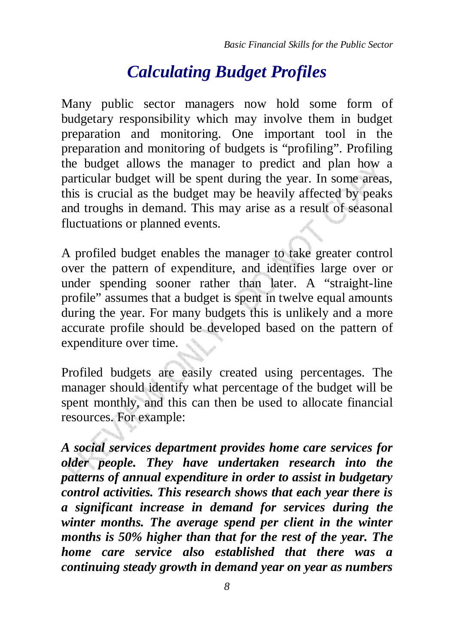## *Calculating Budget Profiles*

Many public sector managers now hold some form of budgetary responsibility which may involve them in budget preparation and monitoring. One important tool in the preparation and monitoring of budgets is "profiling". Profiling the budget allows the manager to predict and plan how a particular budget will be spent during the year. In some areas, this is crucial as the budget may be heavily affected by peaks and troughs in demand. This may arise as a result of seasonal fluctuations or planned events.

A profiled budget enables the manager to take greater control over the pattern of expenditure, and identifies large over or under spending sooner rather than later. A "straight-line profile" assumes that a budget is spent in twelve equal amounts during the year. For many budgets this is unlikely and a more accurate profile should be developed based on the pattern of expenditure over time.

Profiled budgets are easily created using percentages. The manager should identify what percentage of the budget will be spent monthly, and this can then be used to allocate financial resources. For example:

*A social services department provides home care services for older people. They have undertaken research into the patterns of annual expenditure in order to assist in budgetary control activities. This research shows that each year there is a significant increase in demand for services during the winter months. The average spend per client in the winter months is 50% higher than that for the rest of the year. The home care service also established that there was a continuing steady growth in demand year on year as numbers*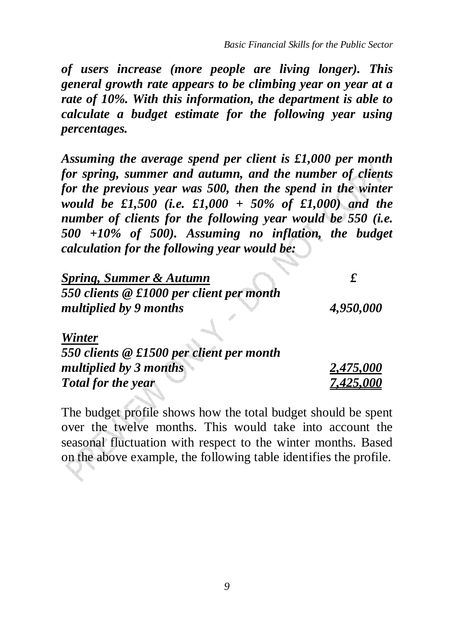*of users increase (more people are living longer). This general growth rate appears to be climbing year on year at a rate of 10%. With this information, the department is able to calculate a budget estimate for the following year using percentages.* 

*Assuming the average spend per client is £1,000 per month for spring, summer and autumn, and the number of clients for the previous year was 500, then the spend in the winter would be £1,500 (i.e. £1,000 + 50% of £1,000) and the number of clients for the following year would be 550 (i.e. 500 +10% of 500). Assuming no inflation, the budget calculation for the following year would be:* 

| <b>Spring, Summer &amp; Autumn</b>                                 |                    |
|--------------------------------------------------------------------|--------------------|
| 550 clients @ £1000 per client per month<br>multiplied by 9 months | 4,950,000          |
| Winter                                                             |                    |
| 550 clients @ £1500 per client per month                           |                    |
| multiplied by 3 months                                             | 2,475,000          |
| Total for the year                                                 | 7 <u>.425.</u> 000 |

The budget profile shows how the total budget should be spent over the twelve months. This would take into account the seasonal fluctuation with respect to the winter months. Based on the above example, the following table identifies the profile.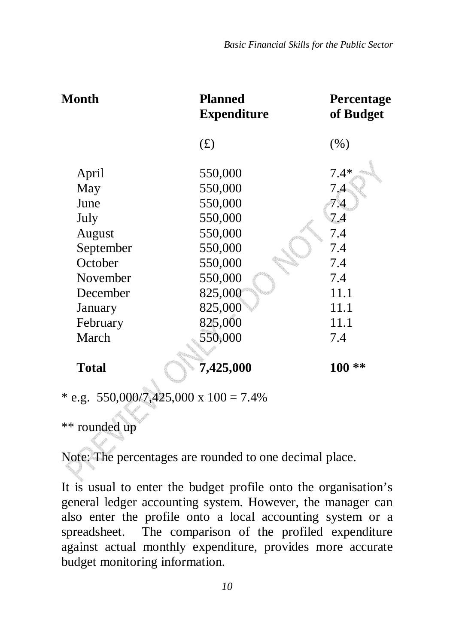| <b>Month</b> | <b>Planned</b><br><b>Expenditure</b> | Percentage<br>of Budget |
|--------------|--------------------------------------|-------------------------|
|              | (f)                                  | (% )                    |
| April        | 550,000                              | $7.4*$                  |
| May          | 550,000                              | 7.4                     |
| June         | 550,000                              | 7.4                     |
| July         | 550,000                              | 7.4                     |
| August       | 550,000                              | 7.4                     |
| September    | 550,000                              | 7.4                     |
| October      | 550,000                              | 7.4                     |
| November     | 550,000                              | 7.4                     |
| December     | 825,000                              | 11.1                    |
| January      | 825,000                              | 11.1                    |
| February     | 825,000                              | 11.1                    |
| March        | 550,000                              | 7.4                     |
| <b>Total</b> | 7,425,000                            | $100**$                 |
|              |                                      |                         |

\* e.g.  $550,000/7,425,000 \times 100 = 7.4\%$ 

\*\* rounded up

Note: The percentages are rounded to one decimal place.

It is usual to enter the budget profile onto the organisation's general ledger accounting system. However, the manager can also enter the profile onto a local accounting system or a spreadsheet. The comparison of the profiled expenditure against actual monthly expenditure, provides more accurate budget monitoring information.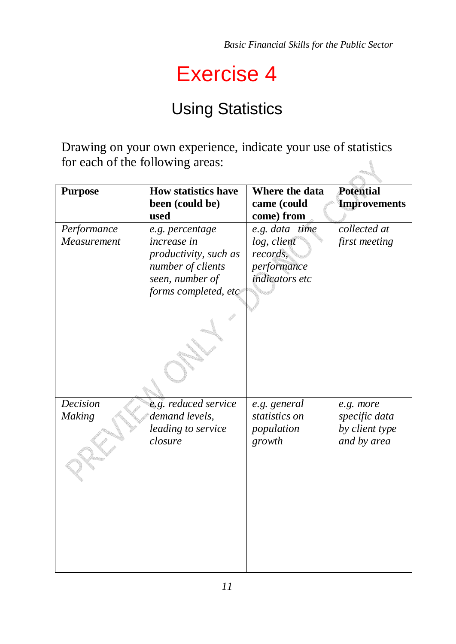## Exercise 4

## Using Statistics

Drawing on your own experience, indicate your use of statistics for each of the following areas:  $\Delta$ 

| <b>Purpose</b> | <b>How statistics have</b> | Where the data | <b>Potential</b>    |
|----------------|----------------------------|----------------|---------------------|
|                | been (could be)            | came (could    | <b>Improvements</b> |
|                | used                       | come) from     |                     |
| Performance    | e.g. percentage            | e.g. data time | collected at        |
| Measurement    | increase in                | log, client    | first meeting       |
|                | productivity, such as      | records,       |                     |
|                | number of clients          | performance    |                     |
|                | seen, number of            | indicators etc |                     |
|                | forms completed, etc       |                |                     |
|                |                            |                |                     |
|                |                            |                |                     |
|                |                            |                |                     |
|                |                            |                |                     |
|                |                            |                |                     |
|                |                            |                |                     |
|                |                            |                |                     |
|                |                            |                |                     |
| Decision       | e.g. reduced service       | e.g. general   | e.g. more           |
| Making         | demand levels,             | statistics on  | specific data       |
|                | leading to service         | population     | by client type      |
|                | closure                    | growth         | and by area         |
|                |                            |                |                     |
|                |                            |                |                     |
|                |                            |                |                     |
|                |                            |                |                     |
|                |                            |                |                     |
|                |                            |                |                     |
|                |                            |                |                     |
|                |                            |                |                     |
|                |                            |                |                     |
|                |                            |                |                     |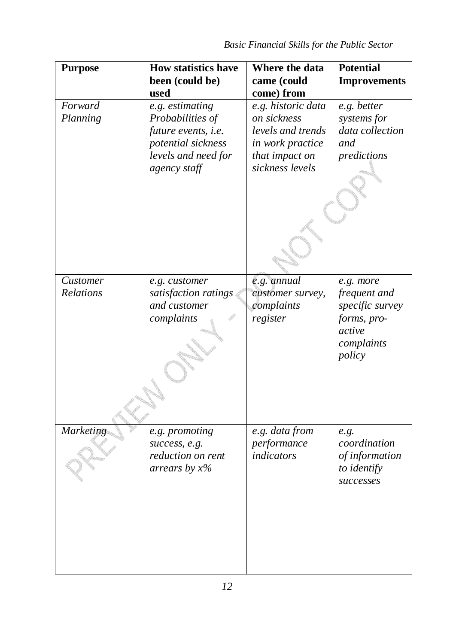| <b>Purpose</b>      | <b>How statistics have</b><br>been (could be)                                                                           | Where the data<br>came (could                                                                                   | <b>Potential</b><br><b>Improvements</b>                             |
|---------------------|-------------------------------------------------------------------------------------------------------------------------|-----------------------------------------------------------------------------------------------------------------|---------------------------------------------------------------------|
|                     | used                                                                                                                    | come) from                                                                                                      |                                                                     |
| Forward<br>Planning | e.g. estimating<br>Probabilities of<br>future events, i.e.<br>potential sickness<br>levels and need for<br>agency staff | e.g. historic data<br>on sickness<br>levels and trends<br>in work practice<br>that impact on<br>sickness levels | e.g. better<br>systems for<br>data collection<br>and<br>predictions |
|                     |                                                                                                                         |                                                                                                                 |                                                                     |
| Customer            | e.g. customer                                                                                                           | e.g. annual                                                                                                     | e.g. more                                                           |
| Relations           | satisfaction ratings                                                                                                    | customer survey,                                                                                                | frequent and                                                        |
|                     | and customer                                                                                                            | complaints                                                                                                      | specific survey                                                     |
|                     | complaints                                                                                                              | register                                                                                                        | forms, pro-<br>active<br>complaints<br>policy                       |
| <b>Marketing</b>    | e.g. promoting                                                                                                          | e.g. data from                                                                                                  | e.g.                                                                |
|                     | success, e.g.                                                                                                           | performance<br>indicators                                                                                       | coordination                                                        |
|                     | reduction on rent<br>arrears by $x\%$                                                                                   |                                                                                                                 | of information<br>to identify<br>successes                          |
|                     |                                                                                                                         |                                                                                                                 |                                                                     |